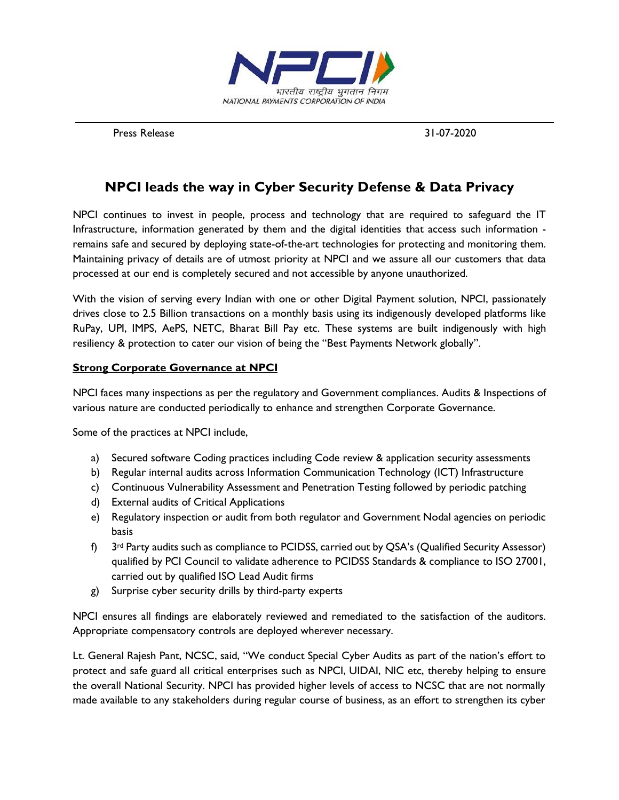

Press Release 31-07-2020

# **NPCI leads the way in Cyber Security Defense & Data Privacy**

NPCI continues to invest in people, process and technology that are required to safeguard the IT Infrastructure, information generated by them and the digital identities that access such information remains safe and secured by deploying state-of-the-art technologies for protecting and monitoring them. Maintaining privacy of details are of utmost priority at NPCI and we assure all our customers that data processed at our end is completely secured and not accessible by anyone unauthorized.

With the vision of serving every Indian with one or other Digital Payment solution, NPCI, passionately drives close to 2.5 Billion transactions on a monthly basis using its indigenously developed platforms like RuPay, UPI, IMPS, AePS, NETC, Bharat Bill Pay etc. These systems are built indigenously with high resiliency & protection to cater our vision of being the "Best Payments Network globally".

#### **Strong Corporate Governance at NPCI**

NPCI faces many inspections as per the regulatory and Government compliances. Audits & Inspections of various nature are conducted periodically to enhance and strengthen Corporate Governance.

Some of the practices at NPCI include,

- a) Secured software Coding practices including Code review & application security assessments
- b) Regular internal audits across Information Communication Technology (ICT) Infrastructure
- c) Continuous Vulnerability Assessment and Penetration Testing followed by periodic patching
- d) External audits of Critical Applications
- e) Regulatory inspection or audit from both regulator and Government Nodal agencies on periodic basis
- $f$  3<sup>rd</sup> Party audits such as compliance to PCIDSS, carried out by QSA's (Qualified Security Assessor) qualified by PCI Council to validate adherence to PCIDSS Standards & compliance to ISO 27001, carried out by qualified ISO Lead Audit firms
- g) Surprise cyber security drills by third-party experts

NPCI ensures all findings are elaborately reviewed and remediated to the satisfaction of the auditors. Appropriate compensatory controls are deployed wherever necessary.

Lt. General Rajesh Pant, NCSC, said, "We conduct Special Cyber Audits as part of the nation's effort to protect and safe guard all critical enterprises such as NPCI, UIDAI, NIC etc, thereby helping to ensure the overall National Security. NPCI has provided higher levels of access to NCSC that are not normally made available to any stakeholders during regular course of business, as an effort to strengthen its cyber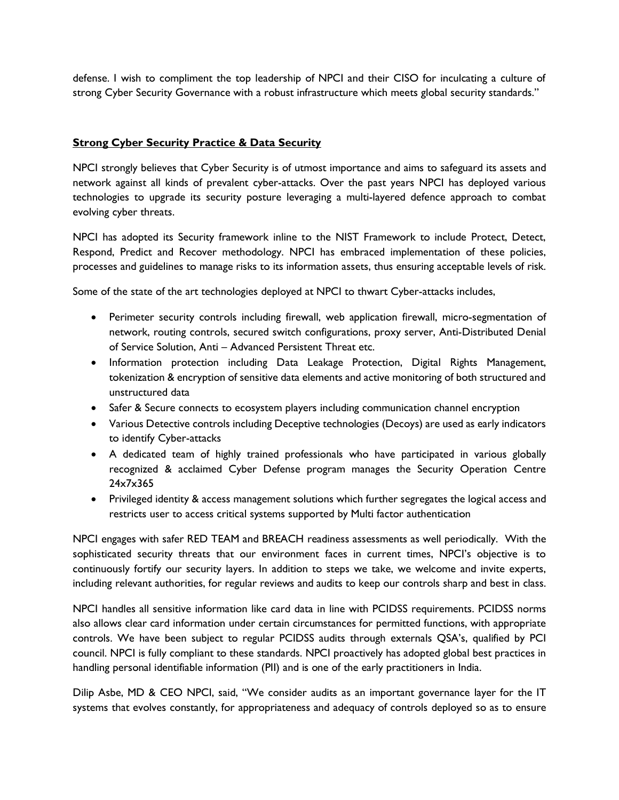defense. I wish to compliment the top leadership of NPCI and their CISO for inculcating a culture of strong Cyber Security Governance with a robust infrastructure which meets global security standards."

### **Strong Cyber Security Practice & Data Security**

NPCI strongly believes that Cyber Security is of utmost importance and aims to safeguard its assets and network against all kinds of prevalent cyber-attacks. Over the past years NPCI has deployed various technologies to upgrade its security posture leveraging a multi-layered defence approach to combat evolving cyber threats.

NPCI has adopted its Security framework inline to the NIST Framework to include Protect, Detect, Respond, Predict and Recover methodology. NPCI has embraced implementation of these policies, processes and guidelines to manage risks to its information assets, thus ensuring acceptable levels of risk.

Some of the state of the art technologies deployed at NPCI to thwart Cyber-attacks includes,

- Perimeter security controls including firewall, web application firewall, micro-segmentation of network, routing controls, secured switch configurations, proxy server, Anti-Distributed Denial of Service Solution, Anti – Advanced Persistent Threat etc.
- Information protection including Data Leakage Protection, Digital Rights Management, tokenization & encryption of sensitive data elements and active monitoring of both structured and unstructured data
- Safer & Secure connects to ecosystem players including communication channel encryption
- Various Detective controls including Deceptive technologies (Decoys) are used as early indicators to identify Cyber-attacks
- A dedicated team of highly trained professionals who have participated in various globally recognized & acclaimed Cyber Defense program manages the Security Operation Centre 24x7x365
- Privileged identity & access management solutions which further segregates the logical access and restricts user to access critical systems supported by Multi factor authentication

NPCI engages with safer RED TEAM and BREACH readiness assessments as well periodically. With the sophisticated security threats that our environment faces in current times, NPCI's objective is to continuously fortify our security layers. In addition to steps we take, we welcome and invite experts, including relevant authorities, for regular reviews and audits to keep our controls sharp and best in class.

NPCI handles all sensitive information like card data in line with PCIDSS requirements. PCIDSS norms also allows clear card information under certain circumstances for permitted functions, with appropriate controls. We have been subject to regular PCIDSS audits through externals QSA's, qualified by PCI council. NPCI is fully compliant to these standards. NPCI proactively has adopted global best practices in handling personal identifiable information (PII) and is one of the early practitioners in India.

Dilip Asbe, MD & CEO NPCI, said, "We consider audits as an important governance layer for the IT systems that evolves constantly, for appropriateness and adequacy of controls deployed so as to ensure